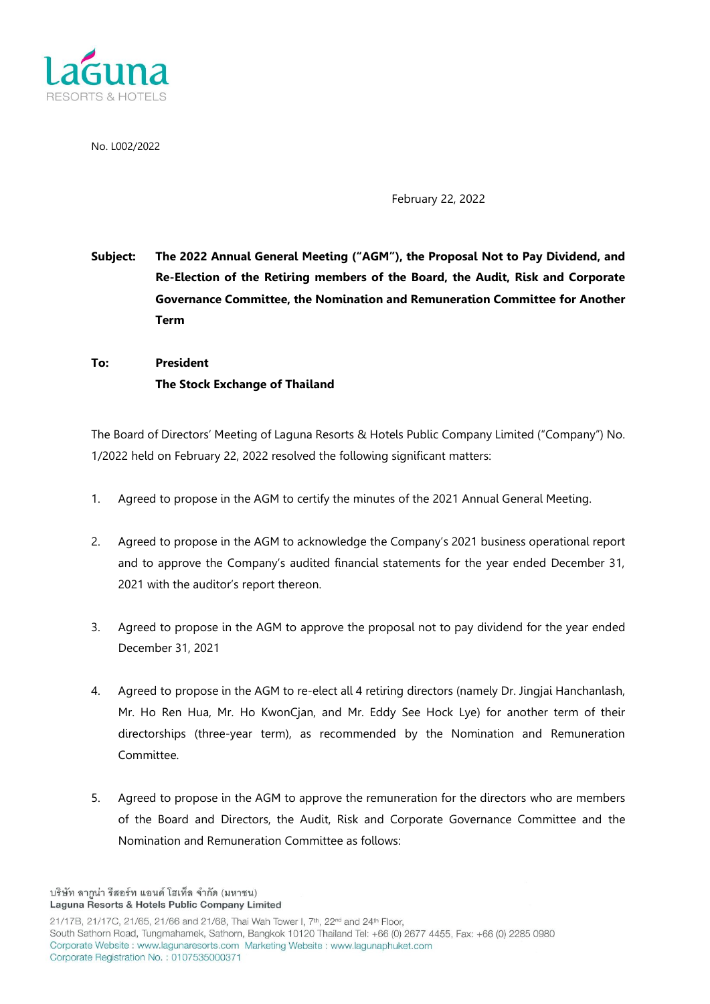

No. L002/2022

February 22, 2022

**Subject: The 2022 Annual General Meeting ("AGM"), the Proposal Not to Pay Dividend, and Re-Election of the Retiring members of the Board, the Audit, Risk and Corporate Governance Committee, the Nomination and Remuneration Committee for Another Term**

**To: President The Stock Exchange of Thailand**

The Board of Directors' Meeting of Laguna Resorts & Hotels Public Company Limited ("Company") No. 1/2022 held on February 22, 2022 resolved the following significant matters:

- 1. Agreed to propose in the AGM to certify the minutes of the 2021 Annual General Meeting.
- 2. Agreed to propose in the AGM to acknowledge the Company's 2021 business operational report and to approve the Company's audited financial statements for the year ended December 31, 2021 with the auditor's report thereon.
- 3. Agreed to propose in the AGM to approve the proposal not to pay dividend for the year ended December 31, 2021
- 4. Agreed to propose in the AGM to re-elect all 4 retiring directors (namely Dr. Jingjai Hanchanlash, Mr. Ho Ren Hua, Mr. Ho KwonCjan, and Mr. Eddy See Hock Lye) for another term of their directorships (three-year term), as recommended by the Nomination and Remuneration Committee.
- 5. Agreed to propose in the AGM to approve the remuneration for the directors who are members of the Board and Directors, the Audit, Risk and Corporate Governance Committee and the Nomination and Remuneration Committee as follows:

บริษัท ลากูน่า รีสอร์ท แอนด์ โฮเท็ล จำกัด (มหาชน) Laguna Resorts & Hotels Public Company Limited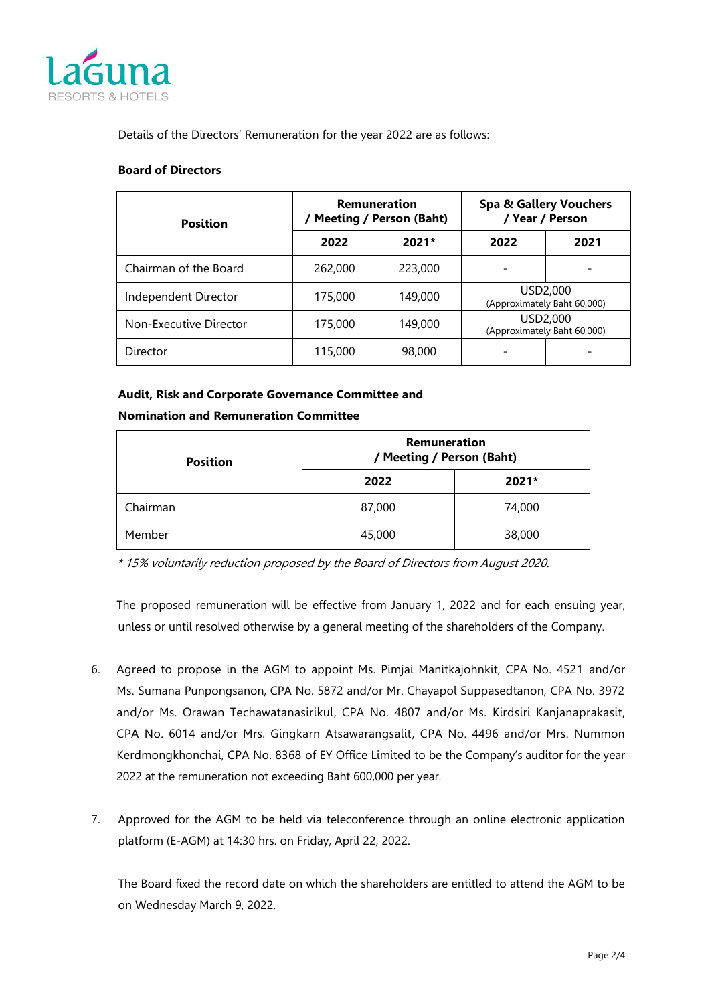

Details of the Directors' Remuneration for the year 2022 are as follows:

#### **Board of Directors**

| <b>Position</b>        | <b>Remuneration</b><br><b>Meeting / Person (Baht)</b> |         | <b>Spa &amp; Gallery Vouchers</b><br>/ Year / Person |      |
|------------------------|-------------------------------------------------------|---------|------------------------------------------------------|------|
|                        | 2022                                                  | $2021*$ | 2022                                                 | 2021 |
| Chairman of the Board  | 262,000                                               | 223,000 |                                                      |      |
| Independent Director   | 175,000                                               | 149,000 | USD2,000<br>(Approximately Baht 60,000)              |      |
| Non-Executive Director | 175,000                                               | 149,000 | USD2,000<br>(Approximately Baht 60,000)              |      |
| Director               | 115,000                                               | 98,000  |                                                      |      |

### **Audit, Risk and Corporate Governance Committee and Nomination and Remuneration Committee**

| <b>Position</b> | <b>Remuneration</b><br>/ Meeting / Person (Baht) |         |  |
|-----------------|--------------------------------------------------|---------|--|
|                 | 2022                                             | $2021*$ |  |
| Chairman        | 87,000                                           | 74,000  |  |
| Member          | 45,000                                           | 38,000  |  |

\* 15% voluntarily reduction proposed by the Board of Directors from August 2020.

The proposed remuneration will be effective from January 1, 2022 and for each ensuing year, unless or until resolved otherwise by a general meeting of the shareholders of the Company.

- 6. Agreed to propose in the AGM to appoint Ms. Pimjai Manitkajohnkit, CPA No. 4521 and/or Ms. Sumana Punpongsanon, CPA No. 5872 and/or Mr. Chayapol Suppasedtanon, CPA No. 3972 and/or Ms. Orawan Techawatanasirikul, CPA No. 4807 and/or Ms. Kirdsiri Kanjanaprakasit, CPA No. 6014 and/or Mrs. Gingkarn Atsawarangsalit, CPA No. 4496 and/or Mrs. Nummon Kerdmongkhonchai, CPA No. 8368 of EY Office Limited to be the Company's auditor for the year 2022 at the remuneration not exceeding Baht 600,000 per year.
- 7. Approved for the AGM to be held via teleconference through an online electronic application platform (E-AGM) at 14:30 hrs. on Friday, April 22, 2022.

The Board fixed the record date on which the shareholders are entitled to attend the AGM to be on Wednesday March 9, 2022.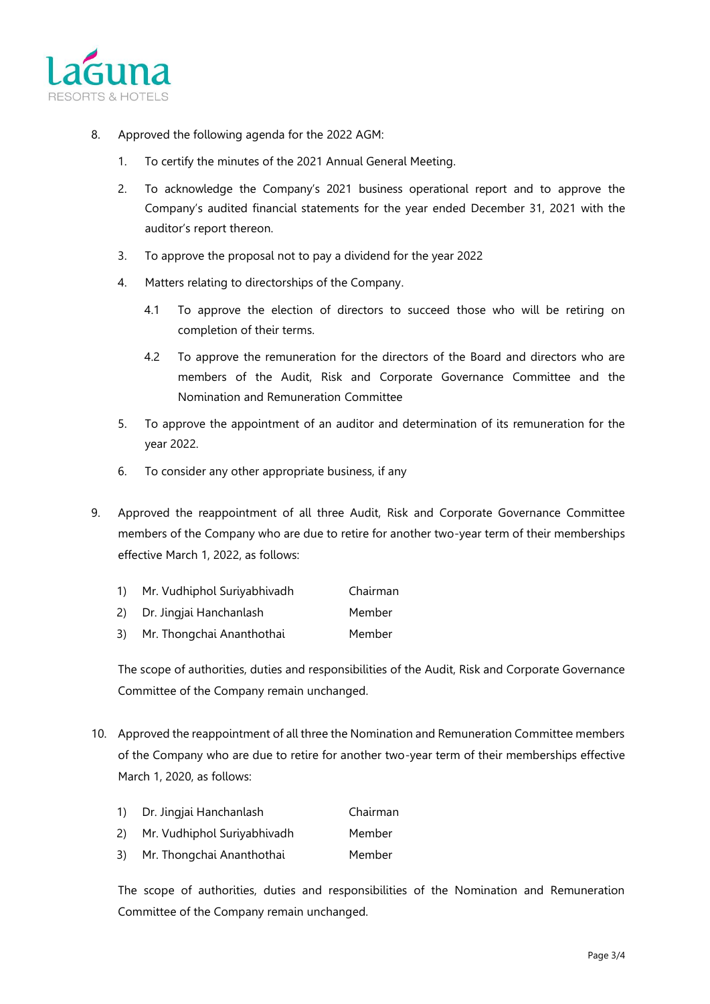

- 8. Approved the following agenda for the 2022 AGM:
	- 1. To certify the minutes of the 2021 Annual General Meeting.
	- 2. To acknowledge the Company's 2021 business operational report and to approve the Company's audited financial statements for the year ended December 31, 2021 with the auditor's report thereon.
	- 3. To approve the proposal not to pay a dividend for the year 2022
	- 4. Matters relating to directorships of the Company.
		- 4.1 To approve the election of directors to succeed those who will be retiring on completion of their terms.
		- 4.2 To approve the remuneration for the directors of the Board and directors who are members of the Audit, Risk and Corporate Governance Committee and the Nomination and Remuneration Committee
	- 5. To approve the appointment of an auditor and determination of its remuneration for the year 2022.
	- 6. To consider any other appropriate business, if any
- 9. Approved the reappointment of all three Audit, Risk and Corporate Governance Committee members of the Company who are due to retire for another two-year term of their memberships effective March 1, 2022, as follows:
	- 1) Mr. Vudhiphol Suriyabhivadh Chairman
	- 2) Dr. Jingjai Hanchanlash Member
	- 3) Mr. Thongchai Ananthothai Member

The scope of authorities, duties and responsibilities of the Audit, Risk and Corporate Governance Committee of the Company remain unchanged.

- 10. Approved the reappointment of all three the Nomination and Remuneration Committee members of the Company who are due to retire for another two-year term of their memberships effective March 1, 2020, as follows:
	- 1) Dr. Jingjai Hanchanlash Chairman
	- 2) Mr. Vudhiphol Suriyabhivadh Member
	- 3) Mr. Thongchai Ananthothai Member

The scope of authorities, duties and responsibilities of the Nomination and Remuneration Committee of the Company remain unchanged.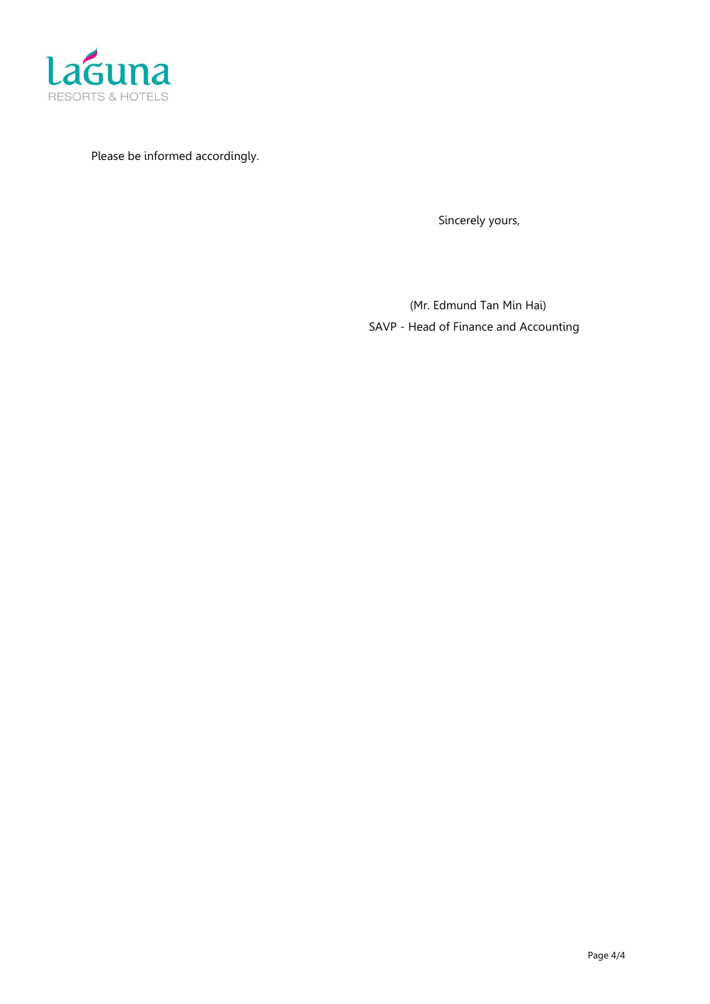

Please be informed accordingly.

Sincerely yours,

 (Mr. Edmund Tan Min Hai) SAVP - Head of Finance and Accounting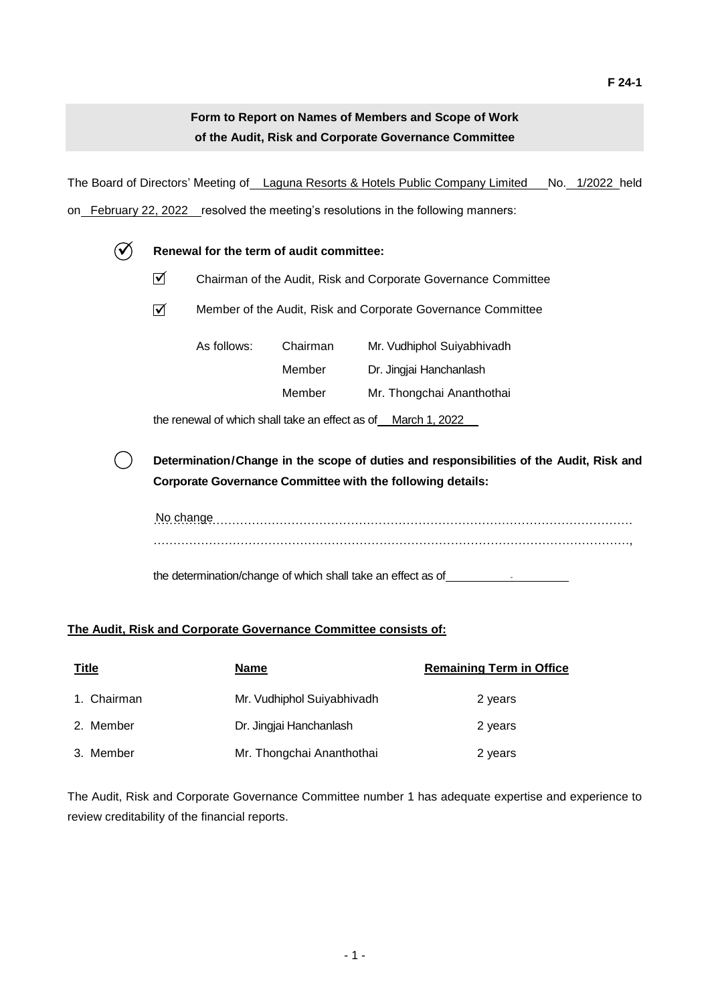# **Form to Report on Names of Members and Scope of Work of the Audit, Risk and Corporate Governance Committee**

The Board of Directors' Meeting of Laguna Resorts & Hotels Public Company Limited No. 1/2022 held on February 22, 2022 resolved the meeting's resolutions in the following manners:

|  |                                                                                                                                                                                                                                           | Renewal for the term of audit committee:                       |          |                            |  |  |  |
|--|-------------------------------------------------------------------------------------------------------------------------------------------------------------------------------------------------------------------------------------------|----------------------------------------------------------------|----------|----------------------------|--|--|--|
|  | ☑                                                                                                                                                                                                                                         | Chairman of the Audit, Risk and Corporate Governance Committee |          |                            |  |  |  |
|  | ☑                                                                                                                                                                                                                                         | Member of the Audit, Risk and Corporate Governance Committee   |          |                            |  |  |  |
|  |                                                                                                                                                                                                                                           | As follows:                                                    | Chairman | Mr. Vudhiphol Suiyabhivadh |  |  |  |
|  |                                                                                                                                                                                                                                           |                                                                | Member   | Dr. Jingjai Hanchanlash    |  |  |  |
|  |                                                                                                                                                                                                                                           |                                                                | Member   | Mr. Thongchai Ananthothai  |  |  |  |
|  | the renewal of which shall take an effect as of March 1, 2022                                                                                                                                                                             |                                                                |          |                            |  |  |  |
|  | Determination/Change in the scope of duties and responsibilities of the Audit, Risk and<br><b>Corporate Governance Committee with the following details:</b><br>No change<br>the determination/change of which shall take an effect as of |                                                                |          |                            |  |  |  |
|  |                                                                                                                                                                                                                                           |                                                                |          |                            |  |  |  |
|  |                                                                                                                                                                                                                                           |                                                                |          |                            |  |  |  |

### **The Audit, Risk and Corporate Governance Committee consists of:**

| <u>Title</u> | <b>Name</b>                | <b>Remaining Term in Office</b> |
|--------------|----------------------------|---------------------------------|
| 1. Chairman  | Mr. Vudhiphol Suiyabhivadh | 2 years                         |
| 2. Member    | Dr. Jingjai Hanchanlash    | 2 years                         |
| 3. Member    | Mr. Thongchai Ananthothai  | 2 years                         |

The Audit, Risk and Corporate Governance Committee number 1 has adequate expertise and experience to review creditability of the financial reports.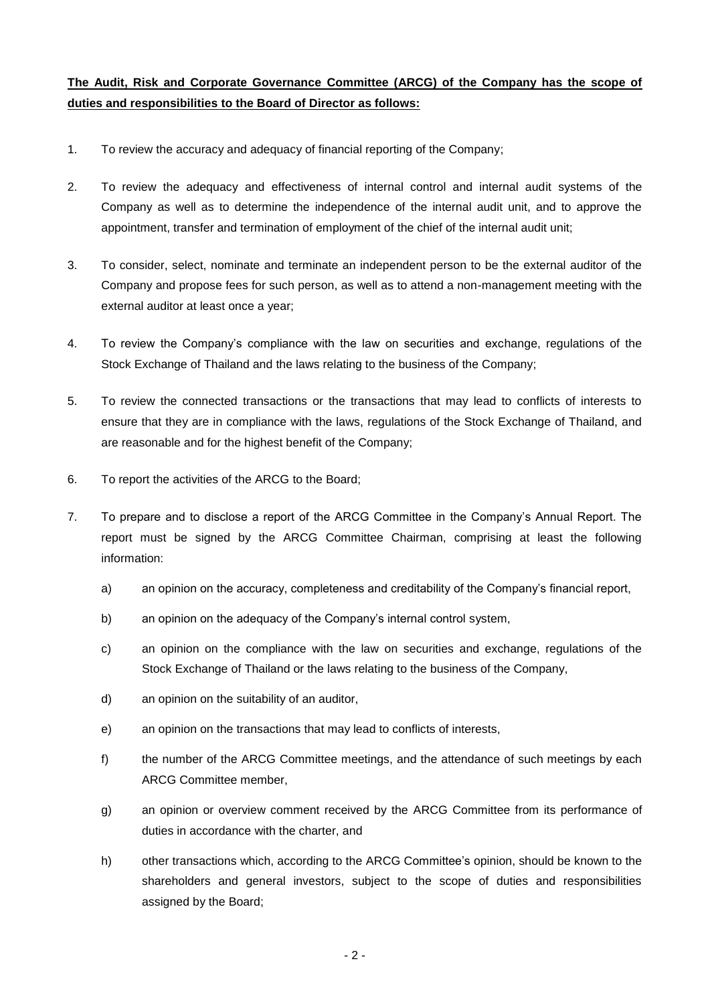## **The Audit, Risk and Corporate Governance Committee (ARCG) of the Company has the scope of duties and responsibilities to the Board of Director as follows:**

- 1. To review the accuracy and adequacy of financial reporting of the Company;
- 2. To review the adequacy and effectiveness of internal control and internal audit systems of the Company as well as to determine the independence of the internal audit unit, and to approve the appointment, transfer and termination of employment of the chief of the internal audit unit;
- 3. To consider, select, nominate and terminate an independent person to be the external auditor of the Company and propose fees for such person, as well as to attend a non-management meeting with the external auditor at least once a year;
- 4. To review the Company's compliance with the law on securities and exchange, regulations of the Stock Exchange of Thailand and the laws relating to the business of the Company;
- 5. To review the connected transactions or the transactions that may lead to conflicts of interests to ensure that they are in compliance with the laws, regulations of the Stock Exchange of Thailand, and are reasonable and for the highest benefit of the Company;
- 6. To report the activities of the ARCG to the Board;
- 7. To prepare and to disclose a report of the ARCG Committee in the Company's Annual Report. The report must be signed by the ARCG Committee Chairman, comprising at least the following information:
	- a) an opinion on the accuracy, completeness and creditability of the Company's financial report,
	- b) an opinion on the adequacy of the Company's internal control system,
	- c) an opinion on the compliance with the law on securities and exchange, regulations of the Stock Exchange of Thailand or the laws relating to the business of the Company,
	- d) an opinion on the suitability of an auditor,
	- e) an opinion on the transactions that may lead to conflicts of interests,
	- f) the number of the ARCG Committee meetings, and the attendance of such meetings by each ARCG Committee member,
	- g) an opinion or overview comment received by the ARCG Committee from its performance of duties in accordance with the charter, and
	- h) other transactions which, according to the ARCG Committee's opinion, should be known to the shareholders and general investors, subject to the scope of duties and responsibilities assigned by the Board;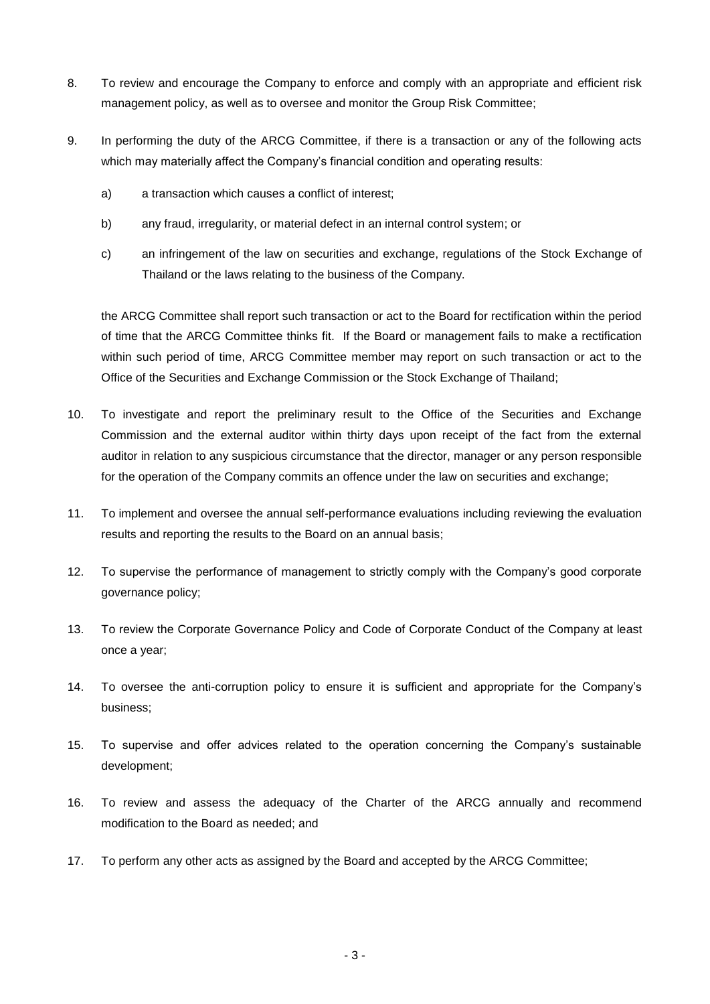- 8. To review and encourage the Company to enforce and comply with an appropriate and efficient risk management policy, as well as to oversee and monitor the Group Risk Committee;
- 9. In performing the duty of the ARCG Committee, if there is a transaction or any of the following acts which may materially affect the Company's financial condition and operating results:
	- a) a transaction which causes a conflict of interest;
	- b) any fraud, irregularity, or material defect in an internal control system; or
	- c) an infringement of the law on securities and exchange, regulations of the Stock Exchange of Thailand or the laws relating to the business of the Company.

the ARCG Committee shall report such transaction or act to the Board for rectification within the period of time that the ARCG Committee thinks fit. If the Board or management fails to make a rectification within such period of time, ARCG Committee member may report on such transaction or act to the Office of the Securities and Exchange Commission or the Stock Exchange of Thailand;

- 10. To investigate and report the preliminary result to the Office of the Securities and Exchange Commission and the external auditor within thirty days upon receipt of the fact from the external auditor in relation to any suspicious circumstance that the director, manager or any person responsible for the operation of the Company commits an offence under the law on securities and exchange;
- 11. To implement and oversee the annual self-performance evaluations including reviewing the evaluation results and reporting the results to the Board on an annual basis;
- 12. To supervise the performance of management to strictly comply with the Company's good corporate governance policy;
- 13. To review the Corporate Governance Policy and Code of Corporate Conduct of the Company at least once a year;
- 14. To oversee the anti-corruption policy to ensure it is sufficient and appropriate for the Company's business;
- 15. To supervise and offer advices related to the operation concerning the Company's sustainable development;
- 16. To review and assess the adequacy of the Charter of the ARCG annually and recommend modification to the Board as needed; and
- 17. To perform any other acts as assigned by the Board and accepted by the ARCG Committee;